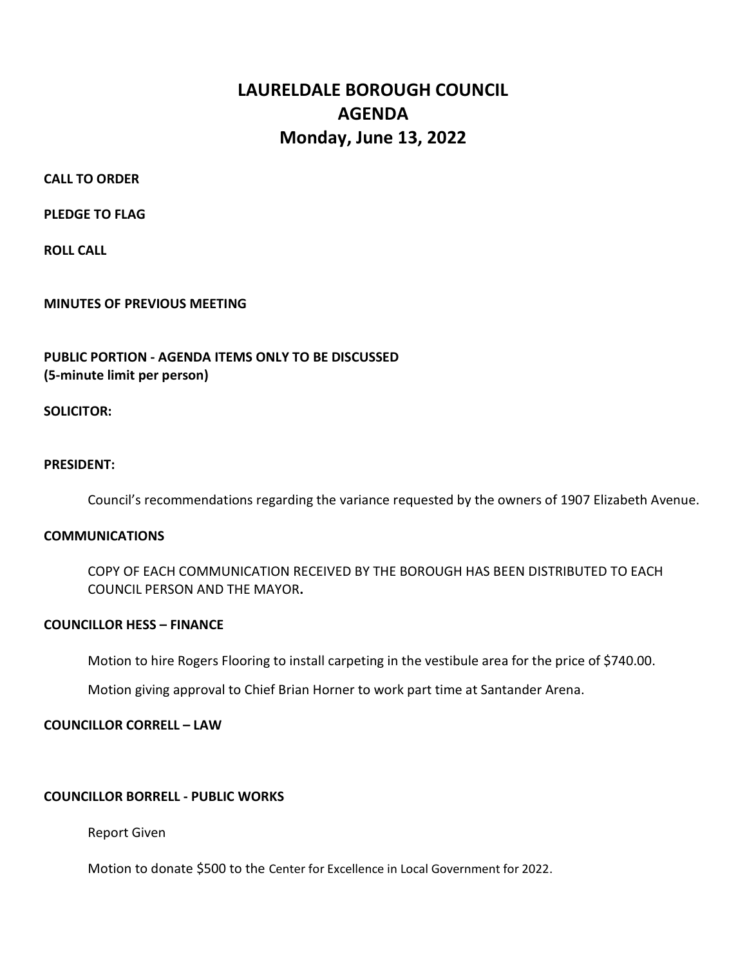# LAURELDALE BOROUGH COUNCIL AGENDA Monday, June 13, 2022

CALL TO ORDER

PLEDGE TO FLAG

ROLL CALL

### MINUTES OF PREVIOUS MEETING

## PUBLIC PORTION - AGENDA ITEMS ONLY TO BE DISCUSSED (5-minute limit per person)

SOLICITOR:

#### PRESIDENT:

Council's recommendations regarding the variance requested by the owners of 1907 Elizabeth Avenue.

#### **COMMUNICATIONS**

 COPY OF EACH COMMUNICATION RECEIVED BY THE BOROUGH HAS BEEN DISTRIBUTED TO EACH COUNCIL PERSON AND THE MAYOR.

#### COUNCILLOR HESS – FINANCE

Motion to hire Rogers Flooring to install carpeting in the vestibule area for the price of \$740.00.

Motion giving approval to Chief Brian Horner to work part time at Santander Arena.

## COUNCILLOR CORRELL – LAW

#### COUNCILLOR BORRELL - PUBLIC WORKS

Report Given

Motion to donate \$500 to the Center for Excellence in Local Government for 2022.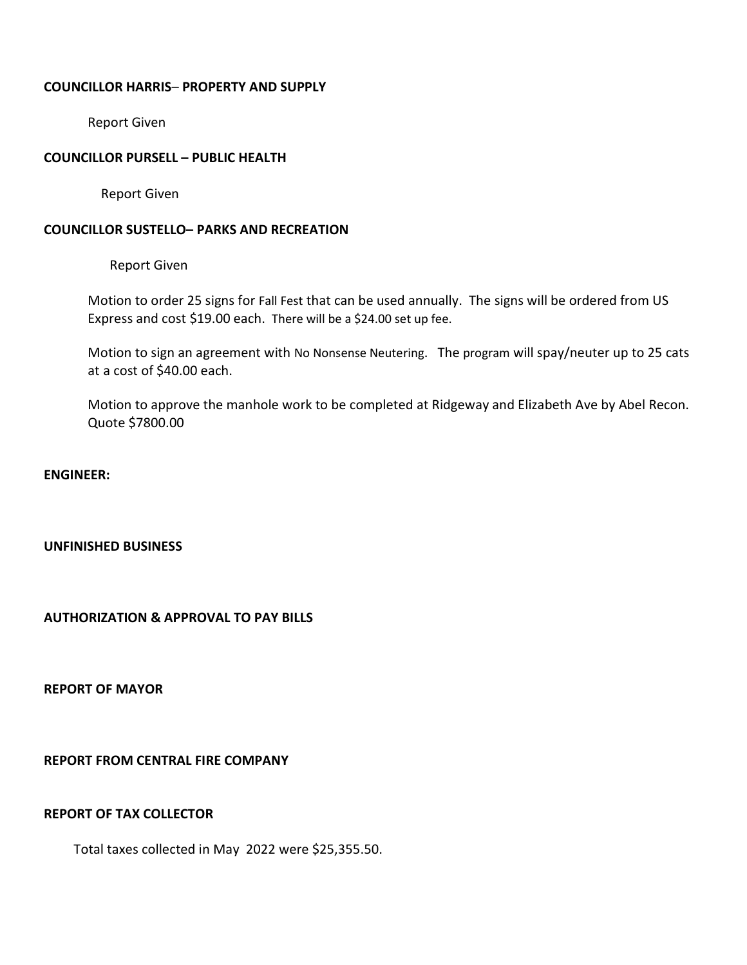#### COUNCILLOR HARRIS– PROPERTY AND SUPPLY

Report Given

### COUNCILLOR PURSELL – PUBLIC HEALTH

Report Given

### COUNCILLOR SUSTELLO– PARKS AND RECREATION

Report Given

Motion to order 25 signs for Fall Fest that can be used annually. The signs will be ordered from US Express and cost \$19.00 each. There will be a \$24.00 set up fee.

Motion to sign an agreement with No Nonsense Neutering. The program will spay/neuter up to 25 cats at a cost of \$40.00 each.

Motion to approve the manhole work to be completed at Ridgeway and Elizabeth Ave by Abel Recon. Quote \$7800.00

ENGINEER:

#### UNFINISHED BUSINESS

AUTHORIZATION & APPROVAL TO PAY BILLS

REPORT OF MAYOR

REPORT FROM CENTRAL FIRE COMPANY

#### REPORT OF TAX COLLECTOR

Total taxes collected in May 2022 were \$25,355.50.